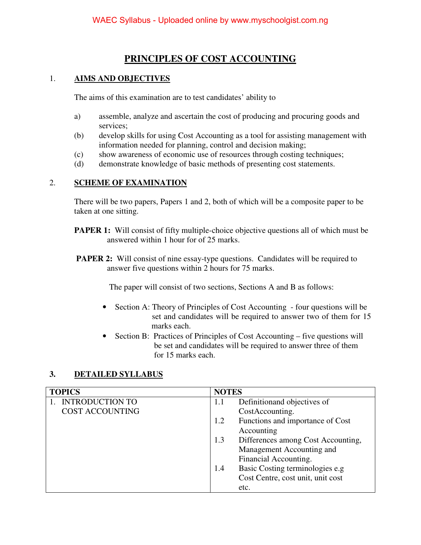## **PRINCIPLES OF COST ACCOUNTING**

### 1. **AIMS AND OBJECTIVES**

The aims of this examination are to test candidates' ability to

- a) assemble, analyze and ascertain the cost of producing and procuring goods and services;
- (b) develop skills for using Cost Accounting as a tool for assisting management with information needed for planning, control and decision making;
- (c) show awareness of economic use of resources through costing techniques;
- (d) demonstrate knowledge of basic methods of presenting cost statements.

#### 2. **SCHEME OF EXAMINATION**

There will be two papers, Papers 1 and 2, both of which will be a composite paper to be taken at one sitting.

- **PAPER 1:** Will consist of fifty multiple-choice objective questions all of which must be answered within 1 hour for of 25 marks.
- **PAPER 2:** Will consist of nine essay-type questions. Candidates will be required to answer five questions within 2 hours for 75 marks.

The paper will consist of two sections, Sections A and B as follows:

- Section A: Theory of Principles of Cost Accounting four questions will be set and candidates will be required to answer two of them for 15 marks each.
- Section B: Practices of Principles of Cost Accounting five questions will be set and candidates will be required to answer three of them for 15 marks each.

#### **3. DETAILED SYLLABUS**

| <b>TOPICS</b>          | <b>NOTES</b>                              |
|------------------------|-------------------------------------------|
| <b>INTRODUCTION TO</b> | Definition and objectives of<br>1.1       |
| <b>COST ACCOUNTING</b> | CostAccounting.                           |
|                        | Functions and importance of Cost<br>1.2   |
|                        | Accounting                                |
|                        | Differences among Cost Accounting,<br>1.3 |
|                        | Management Accounting and                 |
|                        | Financial Accounting.                     |
|                        | Basic Costing terminologies e.g<br>1.4    |
|                        | Cost Centre, cost unit, unit cost         |
|                        | etc.                                      |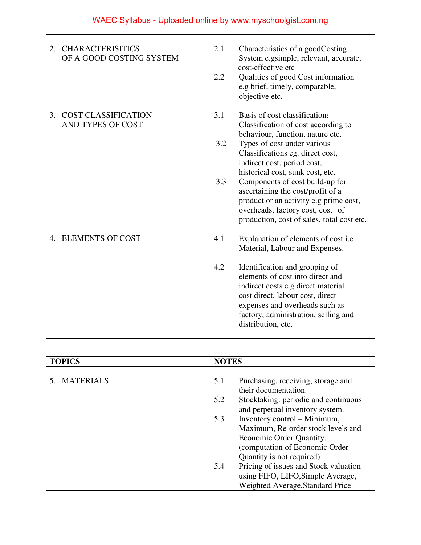| <b>CHARACTERISITICS</b><br>2.<br>OF A GOOD COSTING SYSTEM | 2.1<br>Characteristics of a goodCosting<br>System e.gsimple, relevant, accurate,<br>cost-effective etc<br>2.2<br>Qualities of good Cost information<br>e.g brief, timely, comparable,<br>objective etc.                                                                                                                                                                                                                                                                 |
|-----------------------------------------------------------|-------------------------------------------------------------------------------------------------------------------------------------------------------------------------------------------------------------------------------------------------------------------------------------------------------------------------------------------------------------------------------------------------------------------------------------------------------------------------|
| <b>COST CLASSIFICATION</b><br>3.<br>AND TYPES OF COST     | 3.1<br>Basis of cost classification:<br>Classification of cost according to<br>behaviour, function, nature etc.<br>3.2<br>Types of cost under various<br>Classifications eg. direct cost,<br>indirect cost, period cost,<br>historical cost, sunk cost, etc.<br>3.3<br>Components of cost build-up for<br>ascertaining the cost/profit of a<br>product or an activity e.g prime cost,<br>overheads, factory cost, cost of<br>production, cost of sales, total cost etc. |
| 4. ELEMENTS OF COST                                       | 4.1<br>Explanation of elements of cost <i>i.e</i><br>Material, Labour and Expenses.<br>4.2<br>Identification and grouping of<br>elements of cost into direct and<br>indirect costs e.g direct material<br>cost direct, labour cost, direct<br>expenses and overheads such as<br>factory, administration, selling and<br>distribution, etc.                                                                                                                              |

| <b>TOPICS</b> | <b>NOTES</b>                                 |
|---------------|----------------------------------------------|
|               |                                              |
| 5. MATERIALS  | Purchasing, receiving, storage and<br>5.1    |
|               | their documentation.                         |
|               | Stocktaking: periodic and continuous<br>5.2  |
|               | and perpetual inventory system.              |
|               | Inventory control – Minimum,<br>5.3          |
|               | Maximum, Re-order stock levels and           |
|               | Economic Order Quantity.                     |
|               | (computation of Economic Order               |
|               | Quantity is not required).                   |
|               | Pricing of issues and Stock valuation<br>5.4 |
|               | using FIFO, LIFO, Simple Average,            |
|               | Weighted Average, Standard Price             |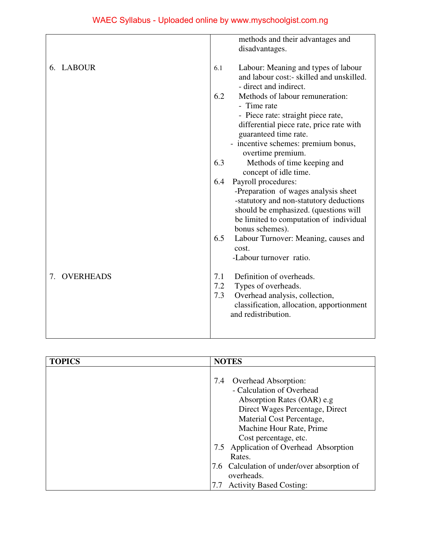|              | methods and their advantages and<br>disadvantages.                                                                                                                                     |
|--------------|----------------------------------------------------------------------------------------------------------------------------------------------------------------------------------------|
| 6. LABOUR    | Labour: Meaning and types of labour<br>6.1<br>and labour cost:- skilled and unskilled.<br>- direct and indirect.                                                                       |
|              | 6.2<br>Methods of labour remuneration:<br>- Time rate                                                                                                                                  |
|              | - Piece rate: straight piece rate,                                                                                                                                                     |
|              | differential piece rate, price rate with<br>guaranteed time rate.                                                                                                                      |
|              | - incentive schemes: premium bonus,<br>overtime premium.                                                                                                                               |
|              | 6.3<br>Methods of time keeping and<br>concept of idle time.                                                                                                                            |
|              | Payroll procedures:<br>6.4                                                                                                                                                             |
|              | -Preparation of wages analysis sheet<br>-statutory and non-statutory deductions<br>should be emphasized. (questions will<br>be limited to computation of individual<br>bonus schemes). |
|              | 6.5<br>Labour Turnover: Meaning, causes and<br>cost.                                                                                                                                   |
|              | -Labour turnover ratio.                                                                                                                                                                |
| 7. OVERHEADS | Definition of overheads.<br>7.1                                                                                                                                                        |
|              | 7.2<br>Types of overheads.                                                                                                                                                             |
|              | 7.3<br>Overhead analysis, collection,<br>classification, allocation, apportionment<br>and redistribution.                                                                              |
|              |                                                                                                                                                                                        |

| <b>TOPICS</b> | <b>NOTES</b>                                                                                                                                                  |
|---------------|---------------------------------------------------------------------------------------------------------------------------------------------------------------|
|               | <b>Overhead Absorption:</b><br>7.4<br>- Calculation of Overhead<br>Absorption Rates (OAR) e.g<br>Direct Wages Percentage, Direct<br>Material Cost Percentage, |
|               | Machine Hour Rate, Prime<br>Cost percentage, etc.                                                                                                             |
|               | 7.5 Application of Overhead Absorption<br>Rates.                                                                                                              |
|               | 7.6 Calculation of under/over absorption of<br>overheads.                                                                                                     |
|               | <b>Activity Based Costing:</b><br>7.7                                                                                                                         |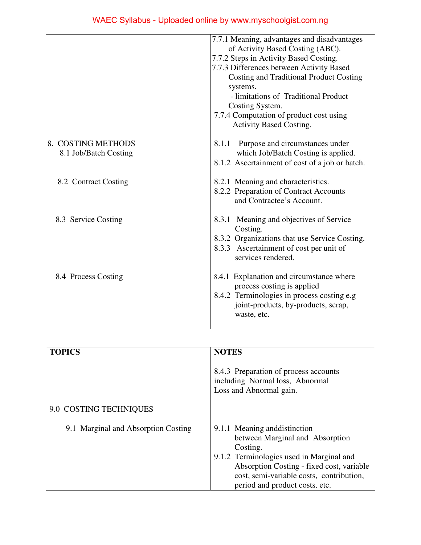|                                             | 7.7.1 Meaning, advantages and disadvantages<br>of Activity Based Costing (ABC).<br>7.7.2 Steps in Activity Based Costing.<br>7.7.3 Differences between Activity Based<br>Costing and Traditional Product Costing<br>systems.<br>- limitations of Traditional Product<br>Costing System.<br>7.7.4 Computation of product cost using<br>Activity Based Costing. |
|---------------------------------------------|---------------------------------------------------------------------------------------------------------------------------------------------------------------------------------------------------------------------------------------------------------------------------------------------------------------------------------------------------------------|
| 8. COSTING METHODS<br>8.1 Job/Batch Costing | Purpose and circumstances under<br>8.1.1<br>which Job/Batch Costing is applied.<br>8.1.2 Ascertainment of cost of a job or batch.                                                                                                                                                                                                                             |
| 8.2 Contract Costing                        | 8.2.1 Meaning and characteristics.<br>8.2.2 Preparation of Contract Accounts<br>and Contractee's Account.                                                                                                                                                                                                                                                     |
| 8.3 Service Costing                         | 8.3.1 Meaning and objectives of Service<br>Costing.<br>8.3.2 Organizations that use Service Costing.<br>8.3.3 Ascertainment of cost per unit of<br>services rendered.                                                                                                                                                                                         |
| 8.4 Process Costing                         | 8.4.1 Explanation and circumstance where<br>process costing is applied<br>8.4.2 Terminologies in process costing e.g<br>joint-products, by-products, scrap,<br>waste, etc.                                                                                                                                                                                    |

| <b>TOPICS</b>                       | <b>NOTES</b>                                                                                                                                                                                                                                        |
|-------------------------------------|-----------------------------------------------------------------------------------------------------------------------------------------------------------------------------------------------------------------------------------------------------|
|                                     | 8.4.3 Preparation of process accounts<br>including Normal loss, Abnormal<br>Loss and Abnormal gain.                                                                                                                                                 |
| 9.0 COSTING TECHNIQUES              |                                                                                                                                                                                                                                                     |
| 9.1 Marginal and Absorption Costing | 9.1.1 Meaning and distinction<br>between Marginal and Absorption<br>Costing.<br>9.1.2 Terminologies used in Marginal and<br>Absorption Costing - fixed cost, variable<br>cost, semi-variable costs, contribution,<br>period and product costs. etc. |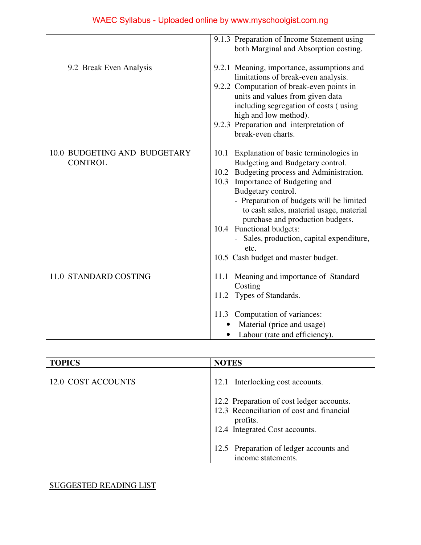|                                                | 9.1.3 Preparation of Income Statement using<br>both Marginal and Absorption costing.                                                                                                                                                                                                                   |
|------------------------------------------------|--------------------------------------------------------------------------------------------------------------------------------------------------------------------------------------------------------------------------------------------------------------------------------------------------------|
| 9.2 Break Even Analysis                        | 9.2.1 Meaning, importance, assumptions and<br>limitations of break-even analysis.<br>9.2.2 Computation of break-even points in<br>units and values from given data<br>including segregation of costs (using<br>high and low method).<br>9.2.3 Preparation and interpretation of                        |
| 10.0 BUDGETING AND BUDGETARY<br><b>CONTROL</b> | break-even charts.<br>Explanation of basic terminologies in<br>10.1<br>Budgeting and Budgetary control.<br>10.2 Budgeting process and Administration.<br>10.3 Importance of Budgeting and<br>Budgetary control.<br>- Preparation of budgets will be limited<br>to cash sales, material usage, material |
|                                                | purchase and production budgets.<br>10.4 Functional budgets:<br>Sales, production, capital expenditure,<br>etc.<br>10.5 Cash budget and master budget.                                                                                                                                                 |
| 11.0 STANDARD COSTING                          | Meaning and importance of Standard<br>11.1<br>Costing<br>11.2 Types of Standards.                                                                                                                                                                                                                      |
|                                                | 11.3 Computation of variances:<br>Material (price and usage)<br>Labour (rate and efficiency).                                                                                                                                                                                                          |

| <b>TOPICS</b>      | <b>NOTES</b>                                                                                                                         |
|--------------------|--------------------------------------------------------------------------------------------------------------------------------------|
| 12.0 COST ACCOUNTS | 12.1 Interlocking cost accounts.                                                                                                     |
|                    | 12.2 Preparation of cost ledger accounts.<br>12.3 Reconciliation of cost and financial<br>profits.<br>12.4 Integrated Cost accounts. |
|                    | 12.5 Preparation of ledger accounts and<br>income statements.                                                                        |

# SUGGESTED READING LIST